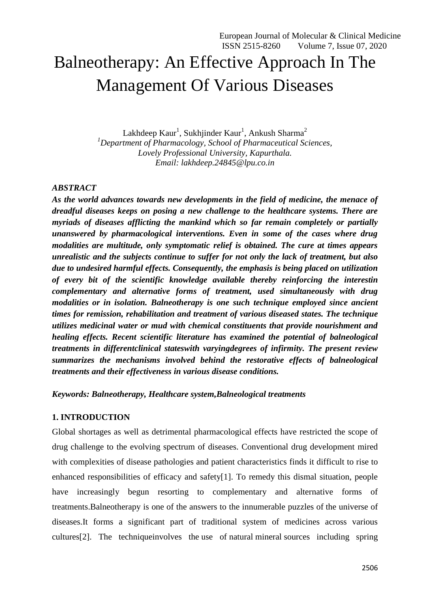# Balneotherapy: An Effective Approach In The Management Of Various Diseases

Lakhdeep  $Kaur<sup>1</sup>$ , Sukhjinder  $Kaur<sup>1</sup>$ , Ankush Sharma<sup>2</sup> *<sup>1</sup>Department of Pharmacology, School of Pharmaceutical Sciences, Lovely Professional University, Kapurthala. Email: lakhdeep.24845@lpu.co.in*

## *ABSTRACT*

*As the world advances towards new developments in the field of medicine, the menace of dreadful diseases keeps on posing a new challenge to the healthcare systems. There are myriads of diseases afflicting the mankind which so far remain completely or partially unanswered by pharmacological interventions. Even in some of the cases where drug modalities are multitude, only symptomatic relief is obtained. The cure at times appears unrealistic and the subjects continue to suffer for not only the lack of treatment, but also due to undesired harmful effects. Consequently, the emphasis is being placed on utilization of every bit of the scientific knowledge available thereby reinforcing the interestin complementary and alternative forms of treatment, used simultaneously with drug modalities or in isolation. Balneotherapy is one such technique employed since ancient times for remission, rehabilitation and treatment of various diseased states. The technique utilizes medicinal water or mud with chemical constituents that provide nourishment and healing effects. Recent scientific literature has examined the potential of balneological treatments in differentclinical stateswith varyingdegrees of infirmity. The present review summarizes the mechanisms involved behind the restorative effects of balneological treatments and their effectiveness in various disease conditions.* 

## *Keywords: Balneotherapy, Healthcare system,Balneological treatments*

## **1. INTRODUCTION**

Global shortages as well as detrimental pharmacological effects have restricted the scope of drug challenge to the evolving spectrum of diseases. Conventional drug development mired with complexities of disease pathologies and patient characteristics finds it difficult to rise to enhanced responsibilities of efficacy and safety[1]. To remedy this dismal situation, people have increasingly begun resorting to complementary and alternative forms of treatments.Balneotherapy is one of the answers to the innumerable puzzles of the universe of diseases.It forms a significant part of traditional system of medicines across various cultures[2]. The techniqueinvolves the use of natural mineral sources including spring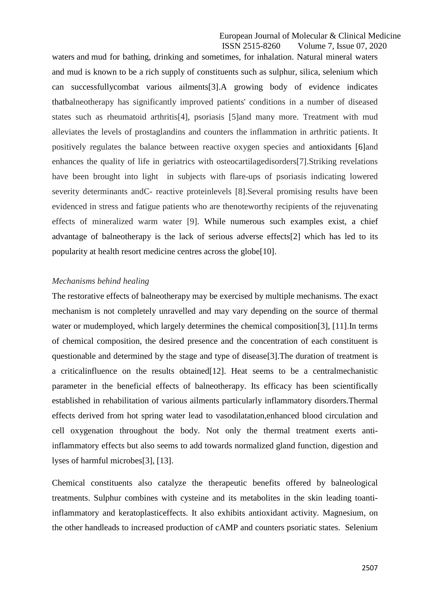European Journal of Molecular & Clinical Medicine ISSN 2515-8260 Volume 7, Issue 07, 2020

waters and mud for bathing, drinking and sometimes, for inhalation. Natural mineral waters and mud is known to be a rich supply of constituents such as sulphur, silica, selenium which can successfullycombat various ailments[3].A growing body of evidence indicates thatbalneotherapy has significantly improved patients' conditions in a number of diseased states such as rheumatoid arthritis[4], psoriasis [5]and many more. Treatment with mud alleviates the levels of prostaglandins and counters the inflammation in arthritic patients. It positively regulates the balance between reactive oxygen species and antioxidants [6]and enhances the quality of life in geriatrics with osteocartilagedisorders[7].Striking revelations have been brought into light in subjects with flare-ups of psoriasis indicating lowered severity determinants andC- reactive proteinlevels [8].Several promising results have been evidenced in stress and fatigue patients who are thenoteworthy recipients of the rejuvenating effects of mineralized warm water [9]. While numerous such examples exist, a chief advantage of balneotherapy is the lack of serious adverse effects[2] which has led to its popularity at health resort medicine centres across the globe[10].

#### *Mechanisms behind healing*

The restorative effects of balneotherapy may be exercised by multiple mechanisms. The exact mechanism is not completely unravelled and may vary depending on the source of thermal water or mudemployed, which largely determines the chemical composition[3], [11]. In terms of chemical composition, the desired presence and the concentration of each constituent is questionable and determined by the stage and type of disease[3].The duration of treatment is a criticalinfluence on the results obtained[12]. Heat seems to be a centralmechanistic parameter in the beneficial effects of balneotherapy. Its efficacy has been scientifically established in rehabilitation of various ailments particularly inflammatory disorders.Thermal effects derived from hot spring water lead to vasodilatation,enhanced blood circulation and cell oxygenation throughout the body. Not only the thermal treatment exerts antiinflammatory effects but also seems to add towards normalized gland function, digestion and lyses of harmful microbes[3], [13].

Chemical constituents also catalyze the therapeutic benefits offered by balneological treatments. Sulphur combines with cysteine and its metabolites in the skin leading toantiinflammatory and keratoplasticeffects. It also exhibits antioxidant activity. Magnesium, on the other handleads to increased production of cAMP and counters psoriatic states. Selenium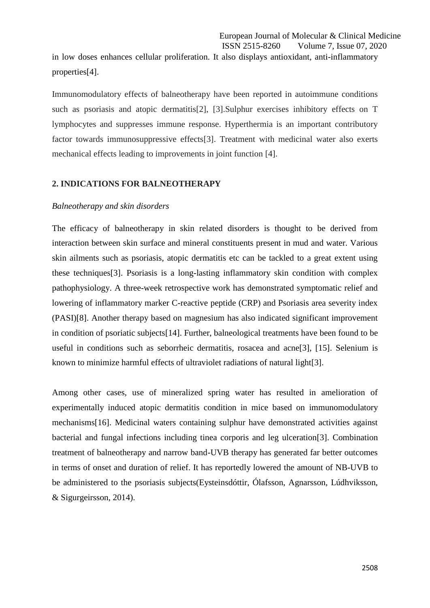in low doses enhances cellular proliferation. It also displays antioxidant, anti-inflammatory properties[4].

Immunomodulatory effects of balneotherapy have been reported in autoimmune conditions such as psoriasis and atopic dermatitis[2], [3].Sulphur exercises inhibitory effects on T lymphocytes and suppresses immune response. Hyperthermia is an important contributory factor towards immunosuppressive effects[3]. Treatment with medicinal water also exerts mechanical effects leading to improvements in joint function [4].

#### **2. INDICATIONS FOR BALNEOTHERAPY**

#### *Balneotherapy and skin disorders*

The efficacy of balneotherapy in skin related disorders is thought to be derived from interaction between skin surface and mineral constituents present in mud and water. Various skin ailments such as psoriasis, atopic dermatitis etc can be tackled to a great extent using these techniques[3]. Psoriasis is a long-lasting inflammatory skin condition with complex pathophysiology. A three-week retrospective work has demonstrated symptomatic relief and lowering of inflammatory marker C-reactive peptide (CRP) and Psoriasis area severity index (PASI)[8]. Another therapy based on magnesium has also indicated significant improvement in condition of psoriatic subjects[14]. Further, balneological treatments have been found to be useful in conditions such as seborrheic dermatitis, rosacea and acne[3], [15]. Selenium is known to minimize harmful effects of ultraviolet radiations of natural light[3].

Among other cases, use of mineralized spring water has resulted in amelioration of experimentally induced atopic dermatitis condition in mice based on immunomodulatory mechanisms[16]. Medicinal waters containing sulphur have demonstrated activities against bacterial and fungal infections including tinea corporis and leg ulceration[3]. Combination treatment of balneotherapy and narrow band-UVB therapy has generated far better outcomes in terms of onset and duration of relief. It has reportedly lowered the amount of NB-UVB to be administered to the psoriasis subjects(Eysteinsdóttir, Ólafsson, Agnarsson, Lúdhviksson, & Sigurgeirsson, 2014).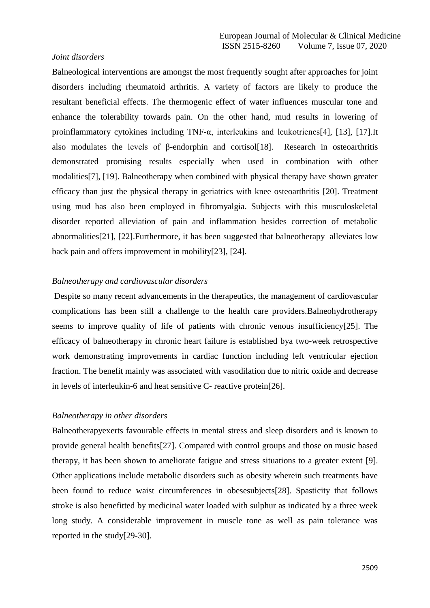#### *Joint disorders*

Balneological interventions are amongst the most frequently sought after approaches for joint disorders including rheumatoid arthritis. A variety of factors are likely to produce the resultant beneficial effects. The thermogenic effect of water influences muscular tone and enhance the tolerability towards pain. On the other hand, mud results in lowering of proinflammatory cytokines including TNF-α, interleukins and leukotrienes[4], [13], [17].It also modulates the levels of β-endorphin and cortisol[18]. Research in osteoarthritis demonstrated promising results especially when used in combination with other modalities[7], [19]. Balneotherapy when combined with physical therapy have shown greater efficacy than just the physical therapy in geriatrics with knee osteoarthritis [20]. Treatment using mud has also been employed in fibromyalgia. Subjects with this musculoskeletal disorder reported alleviation of pain and inflammation besides correction of metabolic abnormalities[21], [22].Furthermore, it has been suggested that balneotherapy alleviates low back pain and offers improvement in mobility[23], [24].

#### *Balneotherapy and cardiovascular disorders*

Despite so many recent advancements in the therapeutics, the management of cardiovascular complications has been still a challenge to the health care providers.Balneohydrotherapy seems to improve quality of life of patients with chronic venous insufficiency[25]. The efficacy of balneotherapy in chronic heart failure is established bya two-week retrospective work demonstrating improvements in cardiac function including left ventricular ejection fraction. The benefit mainly was associated with vasodilation due to nitric oxide and decrease in levels of interleukin-6 and heat sensitive C- reactive protein[26].

#### *Balneotherapy in other disorders*

Balneotherapyexerts favourable effects in mental stress and sleep disorders and is known to provide general health benefits[27]. Compared with control groups and those on music based therapy, it has been shown to ameliorate fatigue and stress situations to a greater extent [9]. Other applications include metabolic disorders such as obesity wherein such treatments have been found to reduce waist circumferences in obesesubjects[28]. Spasticity that follows stroke is also benefitted by medicinal water loaded with sulphur as indicated by a three week long study. A considerable improvement in muscle tone as well as pain tolerance was reported in the study[29-30].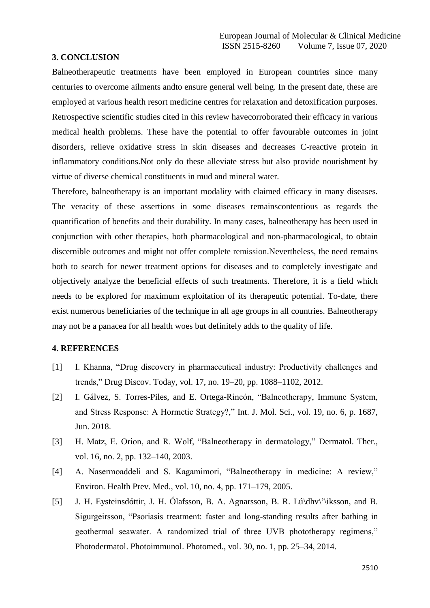### **3. CONCLUSION**

Balneotherapeutic treatments have been employed in European countries since many centuries to overcome ailments andto ensure general well being. In the present date, these are employed at various health resort medicine centres for relaxation and detoxification purposes. Retrospective scientific studies cited in this review havecorroborated their efficacy in various medical health problems. These have the potential to offer favourable outcomes in joint disorders, relieve oxidative stress in skin diseases and decreases C-reactive protein in inflammatory conditions.Not only do these alleviate stress but also provide nourishment by virtue of diverse chemical constituents in mud and mineral water.

Therefore, balneotherapy is an important modality with claimed efficacy in many diseases. The veracity of these assertions in some diseases remainscontentious as regards the quantification of benefits and their durability. In many cases, balneotherapy has been used in conjunction with other therapies, both pharmacological and non-pharmacological, to obtain discernible outcomes and might not offer complete remission.Nevertheless, the need remains both to search for newer treatment options for diseases and to completely investigate and objectively analyze the beneficial effects of such treatments. Therefore, it is a field which needs to be explored for maximum exploitation of its therapeutic potential. To-date, there exist numerous beneficiaries of the technique in all age groups in all countries. Balneotherapy may not be a panacea for all health woes but definitely adds to the quality of life.

## **4. REFERENCES**

- [1] I. Khanna, "Drug discovery in pharmaceutical industry: Productivity challenges and trends," Drug Discov. Today, vol. 17, no. 19–20, pp. 1088–1102, 2012.
- [2] I. Gálvez, S. Torres-Piles, and E. Ortega-Rincón, "Balneotherapy, Immune System, and Stress Response: A Hormetic Strategy?," Int. J. Mol. Sci., vol. 19, no. 6, p. 1687, Jun. 2018.
- [3] H. Matz, E. Orion, and R. Wolf, "Balneotherapy in dermatology," Dermatol. Ther., vol. 16, no. 2, pp. 132–140, 2003.
- [4] A. Nasermoaddeli and S. Kagamimori, "Balneotherapy in medicine: A review," Environ. Health Prev. Med., vol. 10, no. 4, pp. 171–179, 2005.
- [5] J. H. Eysteinsdóttir, J. H. Ólafsson, B. A. Agnarsson, B. R. Lú\dhv\'\iksson, and B. Sigurgeirsson, "Psoriasis treatment: faster and long-standing results after bathing in geothermal seawater. A randomized trial of three UVB phototherapy regimens," Photodermatol. Photoimmunol. Photomed., vol. 30, no. 1, pp. 25–34, 2014.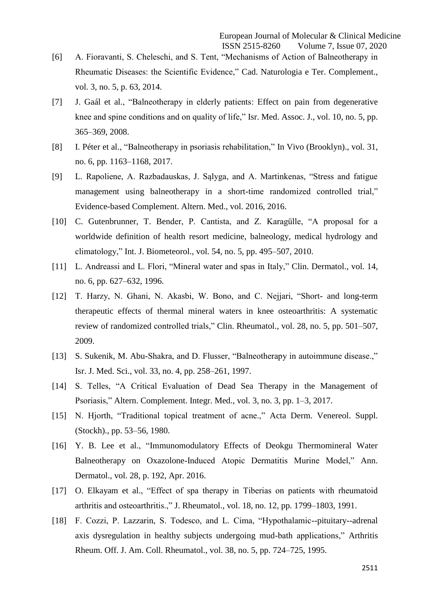- [6] A. Fioravanti, S. Cheleschi, and S. Tent, "Mechanisms of Action of Balneotherapy in Rheumatic Diseases: the Scientific Evidence," Cad. Naturologia e Ter. Complement., vol. 3, no. 5, p. 63, 2014.
- [7] J. Gaál et al., "Balneotherapy in elderly patients: Effect on pain from degenerative knee and spine conditions and on quality of life," Isr. Med. Assoc. J., vol. 10, no. 5, pp. 365–369, 2008.
- [8] I. Péter et al., "Balneotherapy in psoriasis rehabilitation," In Vivo (Brooklyn)., vol. 31, no. 6, pp. 1163–1168, 2017.
- [9] L. Rapoliene, A. Razbadauskas, J. Sąlyga, and A. Martinkenas, "Stress and fatigue management using balneotherapy in a short-time randomized controlled trial," Evidence-based Complement. Altern. Med., vol. 2016, 2016.
- [10] C. Gutenbrunner, T. Bender, P. Cantista, and Z. Karagülle, "A proposal for a worldwide definition of health resort medicine, balneology, medical hydrology and climatology," Int. J. Biometeorol., vol. 54, no. 5, pp. 495–507, 2010.
- [11] L. Andreassi and L. Flori, "Mineral water and spas in Italy," Clin. Dermatol., vol. 14, no. 6, pp. 627–632, 1996.
- [12] T. Harzy, N. Ghani, N. Akasbi, W. Bono, and C. Nejjari, "Short- and long-term therapeutic effects of thermal mineral waters in knee osteoarthritis: A systematic review of randomized controlled trials," Clin. Rheumatol., vol. 28, no. 5, pp. 501–507, 2009.
- [13] S. Sukenik, M. Abu-Shakra, and D. Flusser, "Balneotherapy in autoimmune disease.," Isr. J. Med. Sci., vol. 33, no. 4, pp. 258–261, 1997.
- [14] S. Telles, "A Critical Evaluation of Dead Sea Therapy in the Management of Psoriasis," Altern. Complement. Integr. Med., vol. 3, no. 3, pp. 1–3, 2017.
- [15] N. Hjorth, "Traditional topical treatment of acne.," Acta Derm. Venereol. Suppl. (Stockh)., pp. 53–56, 1980.
- [16] Y. B. Lee et al., "Immunomodulatory Effects of Deokgu Thermomineral Water Balneotherapy on Oxazolone-Induced Atopic Dermatitis Murine Model," Ann. Dermatol., vol. 28, p. 192, Apr. 2016.
- [17] O. Elkayam et al., "Effect of spa therapy in Tiberias on patients with rheumatoid arthritis and osteoarthritis.," J. Rheumatol., vol. 18, no. 12, pp. 1799–1803, 1991.
- [18] F. Cozzi, P. Lazzarin, S. Todesco, and L. Cima, "Hypothalamic--pituitary--adrenal axis dysregulation in healthy subjects undergoing mud-bath applications," Arthritis Rheum. Off. J. Am. Coll. Rheumatol., vol. 38, no. 5, pp. 724–725, 1995.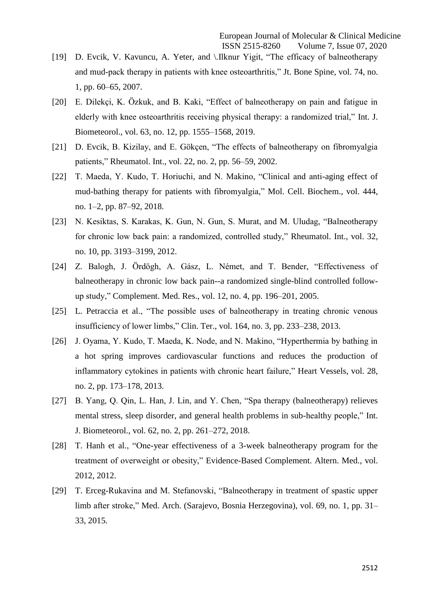- [19] D. Evcik, V. Kavuncu, A. Yeter, and \.Ilknur Yigit, "The efficacy of balneotherapy and mud-pack therapy in patients with knee osteoarthritis," Jt. Bone Spine, vol. 74, no. 1, pp. 60–65, 2007.
- [20] E. Dilekçi, K. Özkuk, and B. Kaki, "Effect of balneotherapy on pain and fatigue in elderly with knee osteoarthritis receiving physical therapy: a randomized trial," Int. J. Biometeorol., vol. 63, no. 12, pp. 1555–1568, 2019.
- [21] D. Evcik, B. Kizilay, and E. Gökçen, "The effects of balneotherapy on fibromyalgia patients," Rheumatol. Int., vol. 22, no. 2, pp. 56–59, 2002.
- [22] T. Maeda, Y. Kudo, T. Horiuchi, and N. Makino, "Clinical and anti-aging effect of mud-bathing therapy for patients with fibromyalgia," Mol. Cell. Biochem., vol. 444, no. 1–2, pp. 87–92, 2018.
- [23] N. Kesiktas, S. Karakas, K. Gun, N. Gun, S. Murat, and M. Uludag, "Balneotherapy for chronic low back pain: a randomized, controlled study," Rheumatol. Int., vol. 32, no. 10, pp. 3193–3199, 2012.
- [24] Z. Balogh, J. Ördögh, A. Gász, L. Német, and T. Bender, "Effectiveness of balneotherapy in chronic low back pain--a randomized single-blind controlled followup study," Complement. Med. Res., vol. 12, no. 4, pp. 196–201, 2005.
- [25] L. Petraccia et al., "The possible uses of balneotherapy in treating chronic venous insufficiency of lower limbs," Clin. Ter., vol. 164, no. 3, pp. 233–238, 2013.
- [26] J. Oyama, Y. Kudo, T. Maeda, K. Node, and N. Makino, "Hyperthermia by bathing in a hot spring improves cardiovascular functions and reduces the production of inflammatory cytokines in patients with chronic heart failure," Heart Vessels, vol. 28, no. 2, pp. 173–178, 2013.
- [27] B. Yang, Q. Qin, L. Han, J. Lin, and Y. Chen, "Spa therapy (balneotherapy) relieves mental stress, sleep disorder, and general health problems in sub-healthy people," Int. J. Biometeorol., vol. 62, no. 2, pp. 261–272, 2018.
- [28] T. Hanh et al., "One-year effectiveness of a 3-week balneotherapy program for the treatment of overweight or obesity," Evidence-Based Complement. Altern. Med., vol. 2012, 2012.
- [29] T. Erceg-Rukavina and M. Stefanovski, "Balneotherapy in treatment of spastic upper limb after stroke," Med. Arch. (Sarajevo, Bosnia Herzegovina), vol. 69, no. 1, pp. 31– 33, 2015.